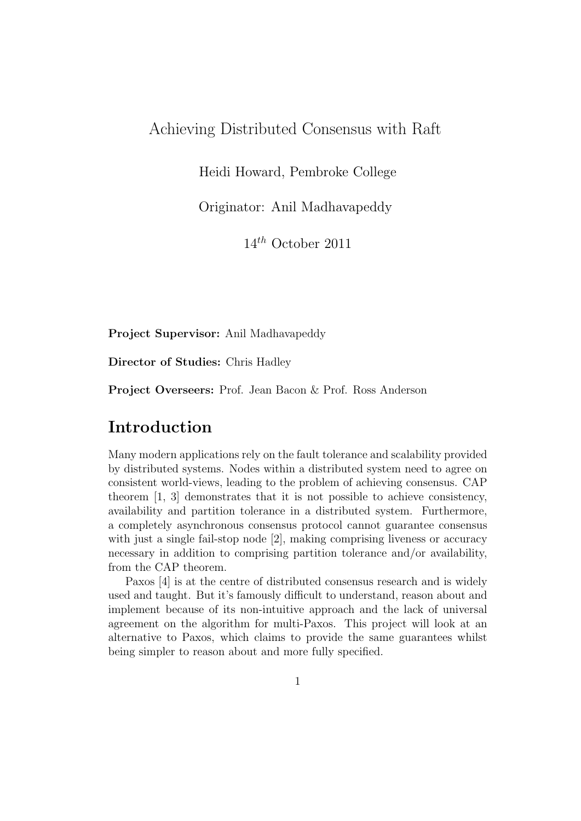#### Achieving Distributed Consensus with Raft

Heidi Howard, Pembroke College

Originator: Anil Madhavapeddy

 $14^{th}$  October 2011

Project Supervisor: Anil Madhavapeddy

Director of Studies: Chris Hadley

Project Overseers: Prof. Jean Bacon & Prof. Ross Anderson

### Introduction

Many modern applications rely on the fault tolerance and scalability provided by distributed systems. Nodes within a distributed system need to agree on consistent world-views, leading to the problem of achieving consensus. CAP theorem [1, 3] demonstrates that it is not possible to achieve consistency, availability and partition tolerance in a distributed system. Furthermore, a completely asynchronous consensus protocol cannot guarantee consensus with just a single fail-stop node [2], making comprising liveness or accuracy necessary in addition to comprising partition tolerance and/or availability, from the CAP theorem.

Paxos [4] is at the centre of distributed consensus research and is widely used and taught. But it's famously difficult to understand, reason about and implement because of its non-intuitive approach and the lack of universal agreement on the algorithm for multi-Paxos. This project will look at an alternative to Paxos, which claims to provide the same guarantees whilst being simpler to reason about and more fully specified.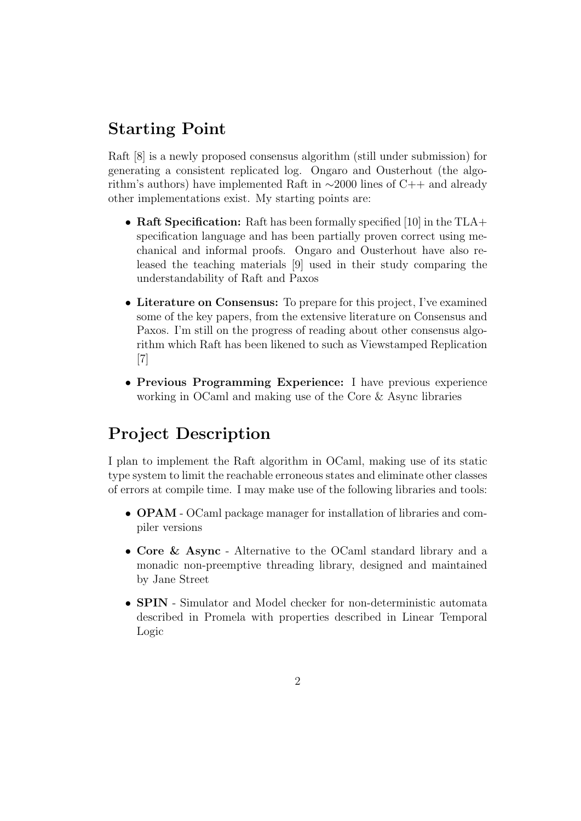# Starting Point

Raft [8] is a newly proposed consensus algorithm (still under submission) for generating a consistent replicated log. Ongaro and Ousterhout (the algorithm's authors) have implemented Raft in ∼2000 lines of C++ and already other implementations exist. My starting points are:

- Raft Specification: Raft has been formally specified [10] in the TLA+ specification language and has been partially proven correct using mechanical and informal proofs. Ongaro and Ousterhout have also released the teaching materials [9] used in their study comparing the understandability of Raft and Paxos
- Literature on Consensus: To prepare for this project, I've examined some of the key papers, from the extensive literature on Consensus and Paxos. I'm still on the progress of reading about other consensus algorithm which Raft has been likened to such as Viewstamped Replication [7]
- Previous Programming Experience: I have previous experience working in OCaml and making use of the Core & Async libraries

# Project Description

I plan to implement the Raft algorithm in OCaml, making use of its static type system to limit the reachable erroneous states and eliminate other classes of errors at compile time. I may make use of the following libraries and tools:

- OPAM OCaml package manager for installation of libraries and compiler versions
- Core & Async Alternative to the OCaml standard library and a monadic non-preemptive threading library, designed and maintained by Jane Street
- SPIN Simulator and Model checker for non-deterministic automata described in Promela with properties described in Linear Temporal Logic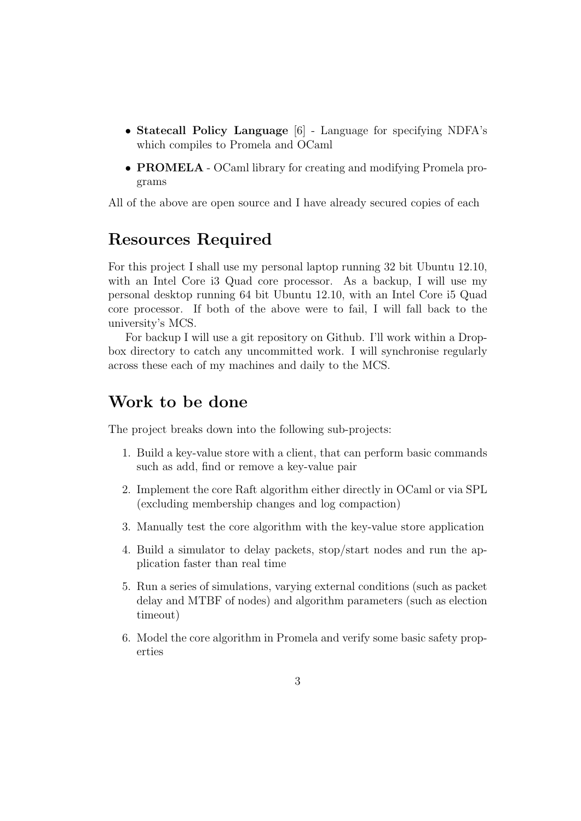- Statecall Policy Language [6] Language for specifying NDFA's which compiles to Promela and OCaml
- PROMELA OCaml library for creating and modifying Promela programs

All of the above are open source and I have already secured copies of each

## Resources Required

For this project I shall use my personal laptop running 32 bit Ubuntu 12.10, with an Intel Core i3 Quad core processor. As a backup, I will use my personal desktop running 64 bit Ubuntu 12.10, with an Intel Core i5 Quad core processor. If both of the above were to fail, I will fall back to the university's MCS.

For backup I will use a git repository on Github. I'll work within a Dropbox directory to catch any uncommitted work. I will synchronise regularly across these each of my machines and daily to the MCS.

#### Work to be done

The project breaks down into the following sub-projects:

- 1. Build a key-value store with a client, that can perform basic commands such as add, find or remove a key-value pair
- 2. Implement the core Raft algorithm either directly in OCaml or via SPL (excluding membership changes and log compaction)
- 3. Manually test the core algorithm with the key-value store application
- 4. Build a simulator to delay packets, stop/start nodes and run the application faster than real time
- 5. Run a series of simulations, varying external conditions (such as packet delay and MTBF of nodes) and algorithm parameters (such as election timeout)
- 6. Model the core algorithm in Promela and verify some basic safety properties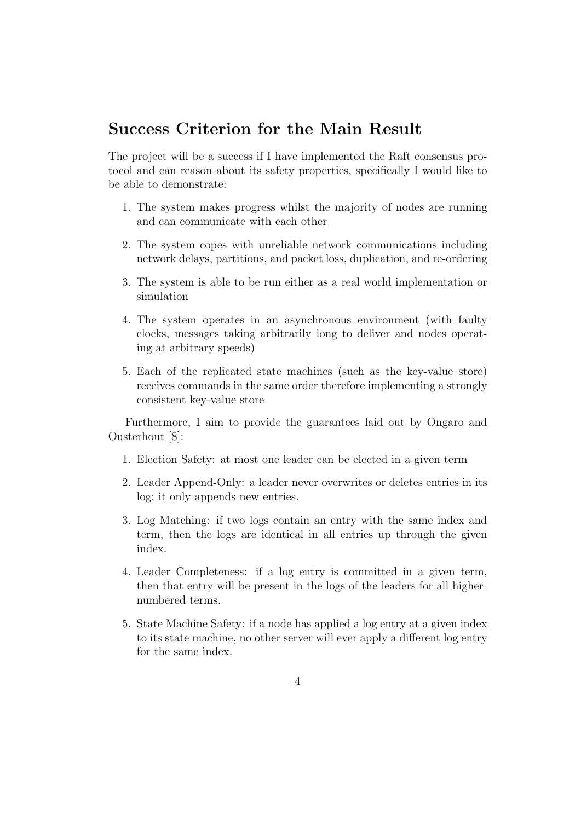## Success Criterion for the Main Result

The project will be a success if I have implemented the Raft consensus protocol and can reason about its safety properties, specifically I would like to be able to demonstrate:

- 1. The system makes progress whilst the majority of nodes are running and can communicate with each other
- 2. The system copes with unreliable network communications including network delays, partitions, and packet loss, duplication, and re-ordering
- 3. The system is able to be run either as a real world implementation or simulation
- 4. The system operates in an asynchronous environment (with faulty clocks, messages taking arbitrarily long to deliver and nodes operating at arbitrary speeds)
- 5. Each of the replicated state machines (such as the key-value store) receives commands in the same order therefore implementing a strongly consistent key-value store

Furthermore, I aim to provide the guarantees laid out by Ongaro and Ousterhout [8]:

- 1. Election Safety: at most one leader can be elected in a given term
- 2. Leader Append-Only: a leader never overwrites or deletes entries in its log; it only appends new entries.
- 3. Log Matching: if two logs contain an entry with the same index and term, then the logs are identical in all entries up through the given index.
- 4. Leader Completeness: if a log entry is committed in a given term, then that entry will be present in the logs of the leaders for all highernumbered terms.
- 5. State Machine Safety: if a node has applied a log entry at a given index to its state machine, no other server will ever apply a different log entry for the same index.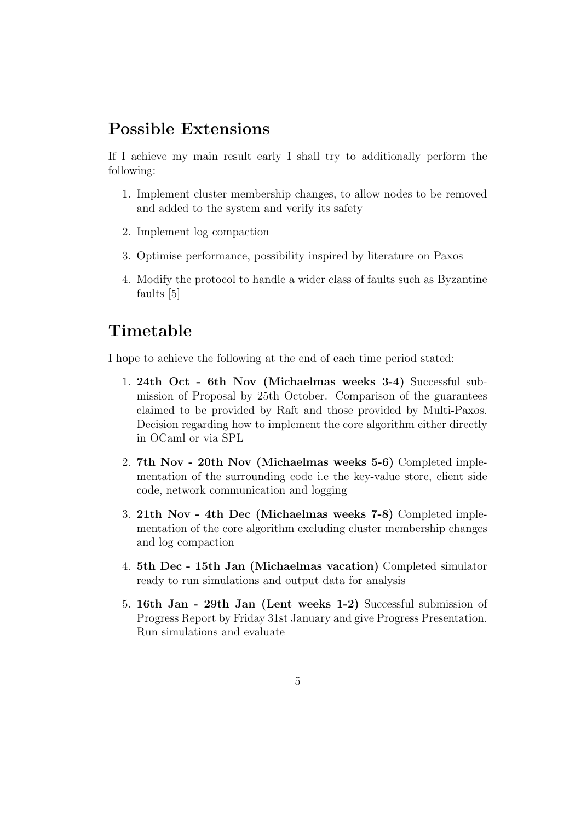## Possible Extensions

If I achieve my main result early I shall try to additionally perform the following:

- 1. Implement cluster membership changes, to allow nodes to be removed and added to the system and verify its safety
- 2. Implement log compaction
- 3. Optimise performance, possibility inspired by literature on Paxos
- 4. Modify the protocol to handle a wider class of faults such as Byzantine faults [5]

## Timetable

I hope to achieve the following at the end of each time period stated:

- 1. 24th Oct 6th Nov (Michaelmas weeks 3-4) Successful submission of Proposal by 25th October. Comparison of the guarantees claimed to be provided by Raft and those provided by Multi-Paxos. Decision regarding how to implement the core algorithm either directly in OCaml or via SPL
- 2. 7th Nov 20th Nov (Michaelmas weeks 5-6) Completed implementation of the surrounding code i.e the key-value store, client side code, network communication and logging
- 3. 21th Nov 4th Dec (Michaelmas weeks 7-8) Completed implementation of the core algorithm excluding cluster membership changes and log compaction
- 4. 5th Dec 15th Jan (Michaelmas vacation) Completed simulator ready to run simulations and output data for analysis
- 5. 16th Jan 29th Jan (Lent weeks 1-2) Successful submission of Progress Report by Friday 31st January and give Progress Presentation. Run simulations and evaluate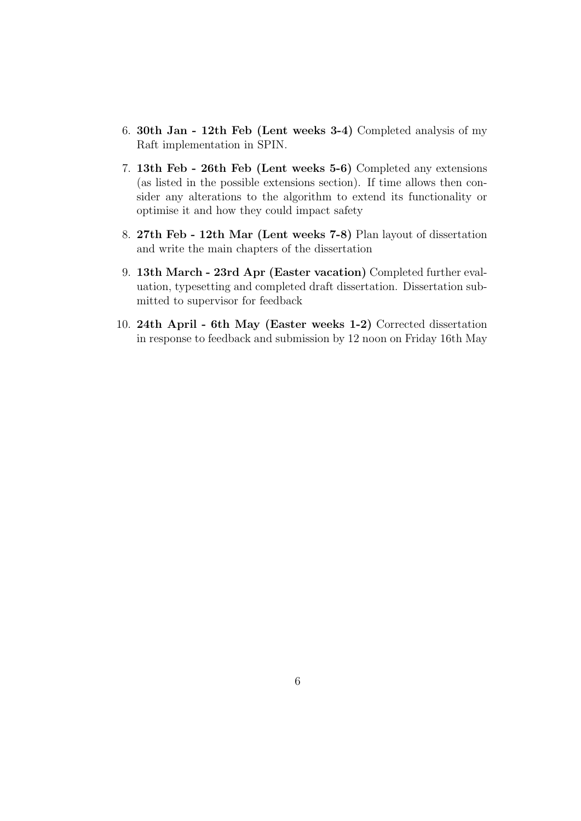- 6. 30th Jan 12th Feb (Lent weeks 3-4) Completed analysis of my Raft implementation in SPIN.
- 7. 13th Feb 26th Feb (Lent weeks 5-6) Completed any extensions (as listed in the possible extensions section). If time allows then consider any alterations to the algorithm to extend its functionality or optimise it and how they could impact safety
- 8. 27th Feb 12th Mar (Lent weeks 7-8) Plan layout of dissertation and write the main chapters of the dissertation
- 9. 13th March 23rd Apr (Easter vacation) Completed further evaluation, typesetting and completed draft dissertation. Dissertation submitted to supervisor for feedback
- 10. 24th April 6th May (Easter weeks 1-2) Corrected dissertation in response to feedback and submission by 12 noon on Friday 16th May